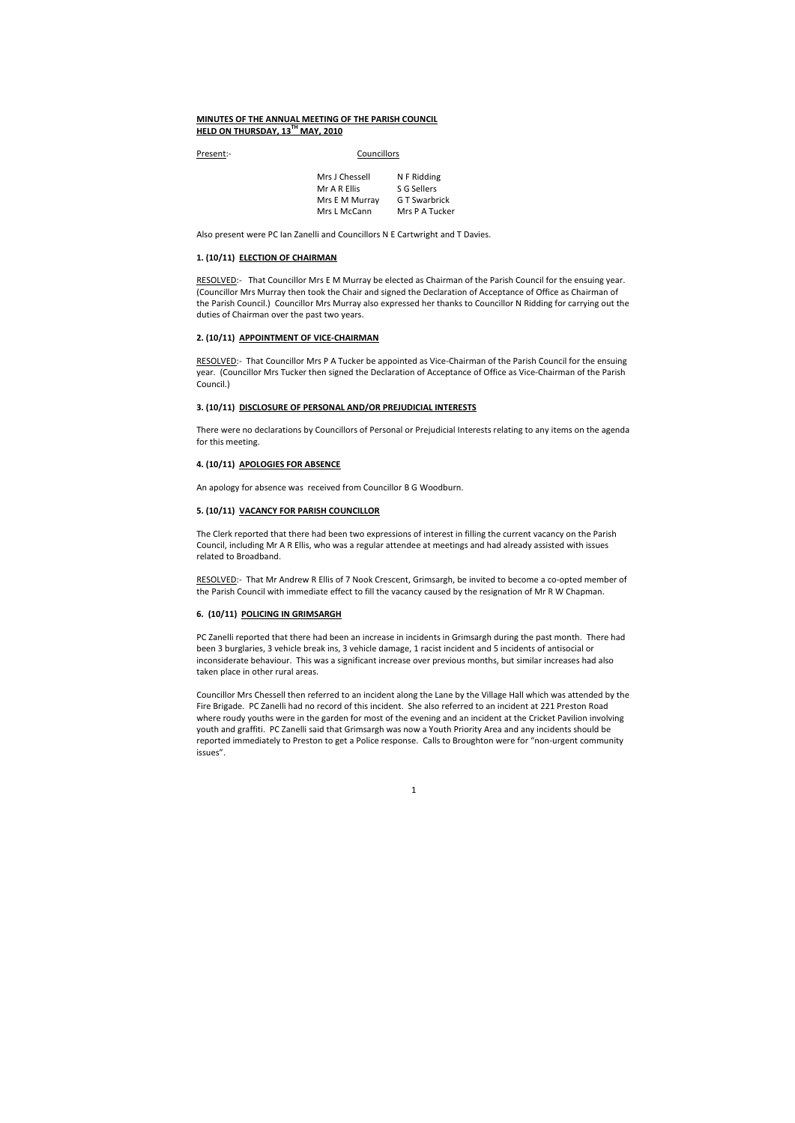# MINUTES OF THE ANNUAL MEETING OF THE PARISH COUNCIL HELD ON THURSDAY, 13<sup>TH</sup> MAY, 2010

Present:- Councillors

| N F Ridding    |
|----------------|
| S G Sellers    |
| G T Swarbrick  |
| Mrs P A Tucker |
|                |

Also present were PC Ian Zanelli and Councillors N E Cartwright and T Davies.

#### 1. (10/11) ELECTION OF CHAIRMAN

RESOLVED:- That Councillor Mrs P A Tucker be appointed as Vice-Chairman of the Parish Council for the ensuing year. (Councillor Mrs Tucker then signed the Declaration of Acceptance of Office as Vice-Chairman of the Parish Council.)

RESOLVED:- That Councillor Mrs E M Murray be elected as Chairman of the Parish Council for the ensuing year. (Councillor Mrs Murray then took the Chair and signed the Declaration of Acceptance of Office as Chairman of the Parish Council.) Councillor Mrs Murray also expressed her thanks to Councillor N Ridding for carrying out the duties of Chairman over the past two years.

# 2. (10/11) APPOINTMENT OF VICE-CHAIRMAN

## 3. (10/11) DISCLOSURE OF PERSONAL AND/OR PREJUDICIAL INTERESTS

There were no declarations by Councillors of Personal or Prejudicial Interests relating to any items on the agenda for this meeting.

# 4. (10/11) APOLOGIES FOR ABSENCE

An apology for absence was received from Councillor B G Woodburn.

# 5. (10/11) VACANCY FOR PARISH COUNCILLOR

The Clerk reported that there had been two expressions of interest in filling the current vacancy on the Parish Council, including Mr A R Ellis, who was a regular attendee at meetings and had already assisted with issues related to Broadband.

RESOLVED:- That Mr Andrew R Ellis of 7 Nook Crescent, Grimsargh, be invited to become a co-opted member of the Parish Council with immediate effect to fill the vacancy caused by the resignation of Mr R W Chapman.

# 6. (10/11) POLICING IN GRIMSARGH

PC Zanelli reported that there had been an increase in incidents in Grimsargh during the past month. There had been 3 burglaries, 3 vehicle break ins, 3 vehicle damage, 1 racist incident and 5 incidents of antisocial or inconsiderate behaviour. This was a significant increase over previous months, but similar increases had also taken place in other rural areas.

Councillor Mrs Chessell then referred to an incident along the Lane by the Village Hall which was attended by the Fire Brigade. PC Zanelli had no record of this incident. She also referred to an incident at 221 Preston Road where roudy youths were in the garden for most of the evening and an incident at the Cricket Pavilion involving youth and graffiti. PC Zanelli said that Grimsargh was now a Youth Priority Area and any incidents should be reported immediately to Preston to get a Police response. Calls to Broughton were for "non-urgent community issues".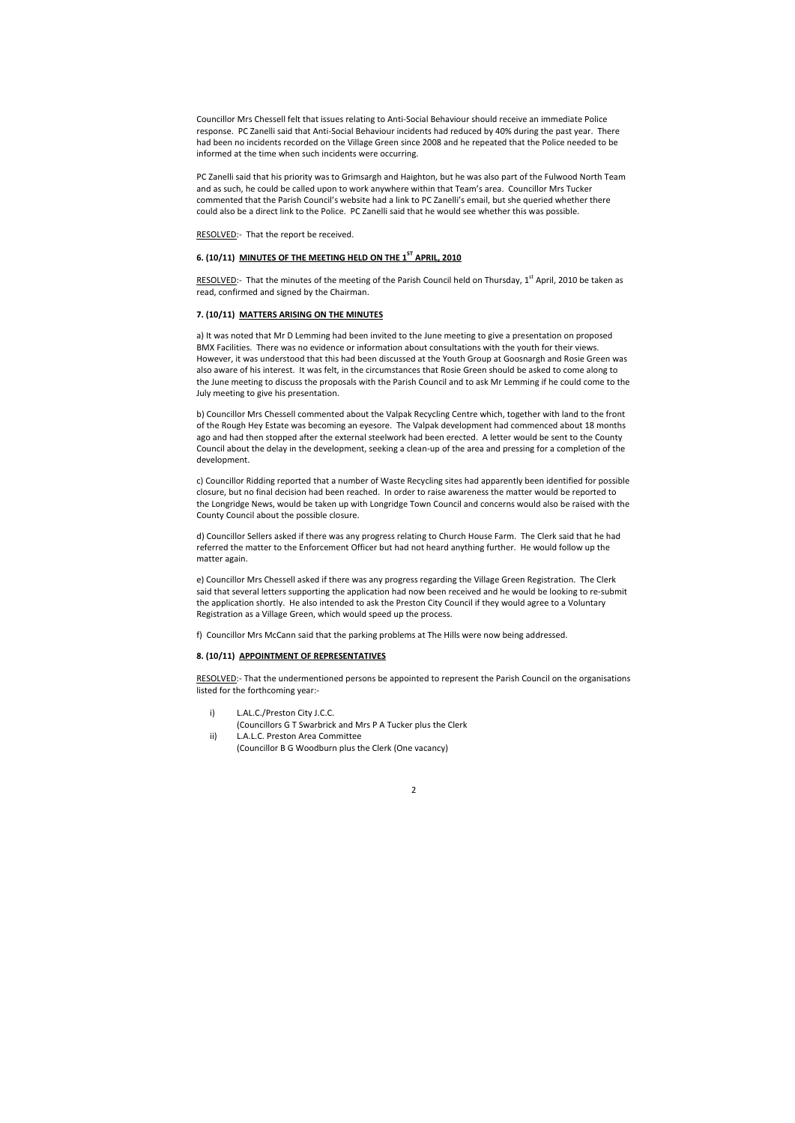Councillor Mrs Chessell felt that issues relating to Anti-Social Behaviour should receive an immediate Police response. PC Zanelli said that Anti-Social Behaviour incidents had reduced by 40% during the past year. There had been no incidents recorded on the Village Green since 2008 and he repeated that the Police needed to be informed at the time when such incidents were occurring.

RESOLVED:- That the minutes of the meeting of the Parish Council held on Thursday, 1<sup>st</sup> April, 2010 be taken as read, confirmed and signed by the Chairman.

PC Zanelli said that his priority was to Grimsargh and Haighton, but he was also part of the Fulwood North Team and as such, he could be called upon to work anywhere within that Team's area. Councillor Mrs Tucker commented that the Parish Council's website had a link to PC Zanelli's email, but she queried whether there could also be a direct link to the Police. PC Zanelli said that he would see whether this was possible.

RESOLVED:- That the report be received.

# 6. (10/11) MINUTES OF THE MEETING HELD ON THE 1<sup>ST</sup> APRIL, 2010

#### 7. (10/11) MATTERS ARISING ON THE MINUTES

a) It was noted that Mr D Lemming had been invited to the June meeting to give a presentation on proposed BMX Facilities. There was no evidence or information about consultations with the youth for their views. However, it was understood that this had been discussed at the Youth Group at Goosnargh and Rosie Green was also aware of his interest. It was felt, in the circumstances that Rosie Green should be asked to come along to the June meeting to discuss the proposals with the Parish Council and to ask Mr Lemming if he could come to the July meeting to give his presentation.

b) Councillor Mrs Chessell commented about the Valpak Recycling Centre which, together with land to the front of the Rough Hey Estate was becoming an eyesore. The Valpak development had commenced about 18 months ago and had then stopped after the external steelwork had been erected. A letter would be sent to the County Council about the delay in the development, seeking a clean-up of the area and pressing for a completion of the development.

c) Councillor Ridding reported that a number of Waste Recycling sites had apparently been identified for possible closure, but no final decision had been reached. In order to raise awareness the matter would be reported to the Longridge News, would be taken up with Longridge Town Council and concerns would also be raised with the County Council about the possible closure.

d) Councillor Sellers asked if there was any progress relating to Church House Farm. The Clerk said that he had referred the matter to the Enforcement Officer but had not heard anything further. He would follow up the matter again.

e) Councillor Mrs Chessell asked if there was any progress regarding the Village Green Registration. The Clerk said that several letters supporting the application had now been received and he would be looking to re-submit the application shortly. He also intended to ask the Preston City Council if they would agree to a Voluntary Registration as a Village Green, which would speed up the process.

f) Councillor Mrs McCann said that the parking problems at The Hills were now being addressed.

#### 8. (10/11) APPOINTMENT OF REPRESENTATIVES

RESOLVED:- That the undermentioned persons be appointed to represent the Parish Council on the organisations listed for the forthcoming year:-

- i) L.AL.C./Preston City J.C.C.
	- (Councillors G T Swarbrick and Mrs P A Tucker plus the Clerk
- ii) L.A.L.C. Preston Area Committee (Councillor B G Woodburn plus the Clerk (One vacancy)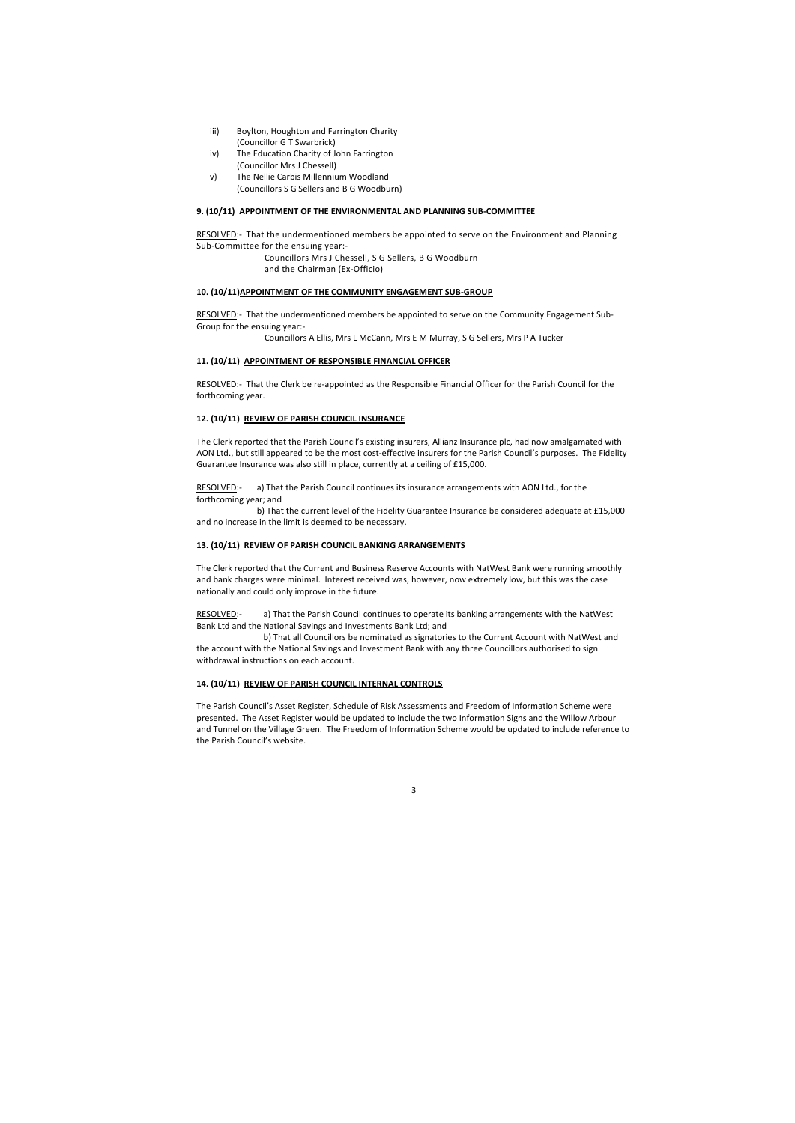- iii) Boylton, Houghton and Farrington Charity (Councillor G T Swarbrick)
- iv) The Education Charity of John Farrington (Councillor Mrs J Chessell)
- v) The Nellie Carbis Millennium Woodland (Councillors S G Sellers and B G Woodburn)

#### 9. (10/11) APPOINTMENT OF THE ENVIRONMENTAL AND PLANNING SUB-COMMITTEE

RESOLVED:- That the undermentioned members be appointed to serve on the Community Engagement Sub-Group for the ensuing year:-

RESOLVED:- That the undermentioned members be appointed to serve on the Environment and Planning Sub-Committee for the ensuing year:-

> Councillors Mrs J Chessell, S G Sellers, B G Woodburn and the Chairman (Ex-Officio)

RESOLVED:- That the Clerk be re-appointed as the Responsible Financial Officer for the Parish Council for the forthcoming year.

## 10. (10/11)APPOINTMENT OF THE COMMUNITY ENGAGEMENT SUB-GROUP

RESOLVED:- a) That the Parish Council continues its insurance arrangements with AON Ltd., for the forthcoming year; and

Councillors A Ellis, Mrs L McCann, Mrs E M Murray, S G Sellers, Mrs P A Tucker

#### 11. (10/11) APPOINTMENT OF RESPONSIBLE FINANCIAL OFFICER

#### 12. (10/11) REVIEW OF PARISH COUNCIL INSURANCE

RESOLVED:- a) That the Parish Council continues to operate its banking arrangements with the NatWest Bank Ltd and the National Savings and Investments Bank Ltd; and

The Clerk reported that the Parish Council's existing insurers, Allianz Insurance plc, had now amalgamated with AON Ltd., but still appeared to be the most cost-effective insurers for the Parish Council's purposes. The Fidelity Guarantee Insurance was also still in place, currently at a ceiling of £15,000.

 b) That the current level of the Fidelity Guarantee Insurance be considered adequate at £15,000 and no increase in the limit is deemed to be necessary.

#### 13. (10/11) REVIEW OF PARISH COUNCIL BANKING ARRANGEMENTS

The Clerk reported that the Current and Business Reserve Accounts with NatWest Bank were running smoothly and bank charges were minimal. Interest received was, however, now extremely low, but this was the case nationally and could only improve in the future.

 b) That all Councillors be nominated as signatories to the Current Account with NatWest and the account with the National Savings and Investment Bank with any three Councillors authorised to sign withdrawal instructions on each account.

# 14. (10/11) REVIEW OF PARISH COUNCIL INTERNAL CONTROLS

The Parish Council's Asset Register, Schedule of Risk Assessments and Freedom of Information Scheme were presented. The Asset Register would be updated to include the two Information Signs and the Willow Arbour and Tunnel on the Village Green. The Freedom of Information Scheme would be updated to include reference to the Parish Council's website.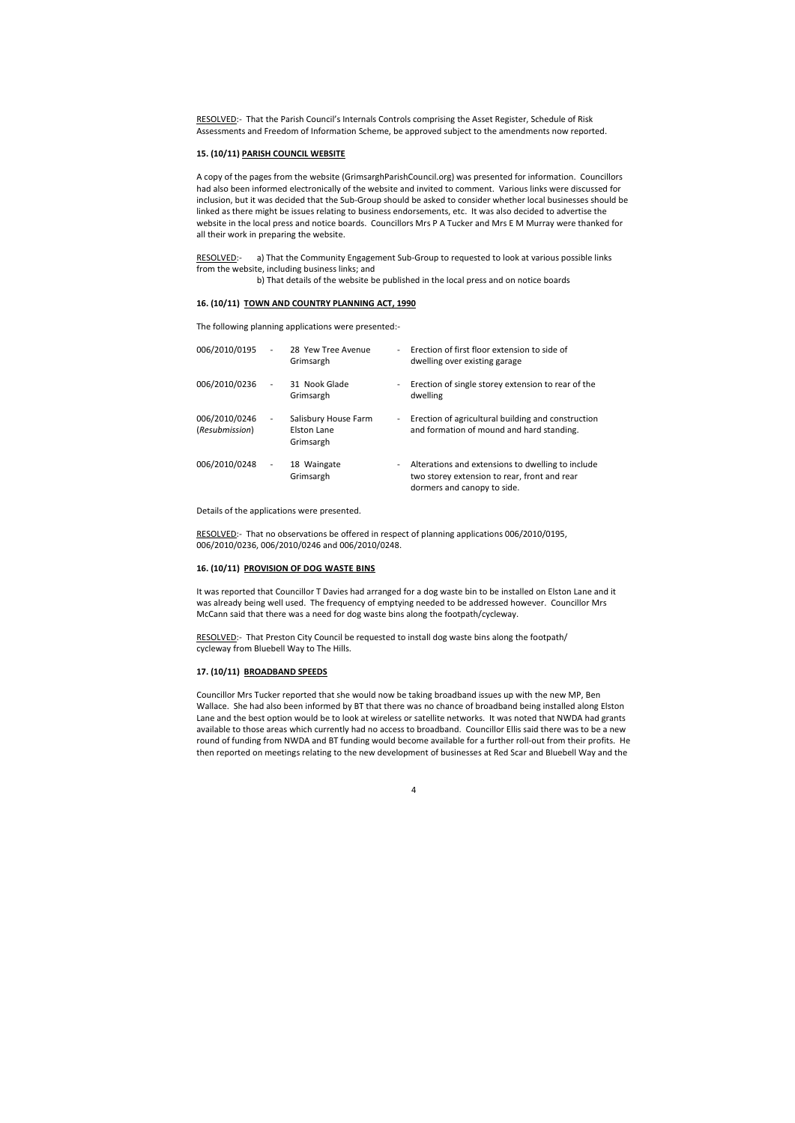RESOLVED:- That the Parish Council's Internals Controls comprising the Asset Register, Schedule of Risk Assessments and Freedom of Information Scheme, be approved subject to the amendments now reported.

#### 15. (10/11) PARISH COUNCIL WEBSITE

RESOLVED:- a) That the Community Engagement Sub-Group to requested to look at various possible links from the website, including business links; and

A copy of the pages from the website (GrimsarghParishCouncil.org) was presented for information. Councillors had also been informed electronically of the website and invited to comment. Various links were discussed for inclusion, but it was decided that the Sub-Group should be asked to consider whether local businesses should be linked as there might be issues relating to business endorsements, etc. It was also decided to advertise the website in the local press and notice boards. Councillors Mrs P A Tucker and Mrs E M Murray were thanked for all their work in preparing the website.

b) That details of the website be published in the local press and on notice boards

#### 16. (10/11) TOWN AND COUNTRY PLANNING ACT, 1990

The following planning applications were presented:-

RESOLVED:- That Preston City Council be requested to install dog waste bins along the footpath/ cycleway from Bluebell Way to The Hills.

| 006/2010/0195                   | $\overline{\phantom{a}}$ | 28 Yew Tree Avenue<br>Grimsargh                  | $\overline{\phantom{0}}$     | Erection of first floor extension to side of<br>dwelling over existing garage                                                    |
|---------------------------------|--------------------------|--------------------------------------------------|------------------------------|----------------------------------------------------------------------------------------------------------------------------------|
| 006/2010/0236                   | $\overline{\phantom{a}}$ | 31 Nook Glade<br>Grimsargh                       | $\blacksquare$               | Erection of single storey extension to rear of the<br>dwelling                                                                   |
| 006/2010/0246<br>(Resubmission) | $\overline{\phantom{a}}$ | Salisbury House Farm<br>Elston Lane<br>Grimsargh | $\sim$                       | Erection of agricultural building and construction<br>and formation of mound and hard standing.                                  |
| 006/2010/0248                   | $\overline{\phantom{0}}$ | 18 Waingate<br>Grimsargh                         | $\qquad \qquad \blacksquare$ | Alterations and extensions to dwelling to include<br>two storey extension to rear, front and rear<br>dormers and canopy to side. |

Details of the applications were presented.

RESOLVED:- That no observations be offered in respect of planning applications 006/2010/0195, 006/2010/0236, 006/2010/0246 and 006/2010/0248.

#### 16. (10/11) PROVISION OF DOG WASTE BINS

It was reported that Councillor T Davies had arranged for a dog waste bin to be installed on Elston Lane and it was already being well used. The frequency of emptying needed to be addressed however. Councillor Mrs McCann said that there was a need for dog waste bins along the footpath/cycleway.

#### 17. (10/11) BROADBAND SPEEDS

Councillor Mrs Tucker reported that she would now be taking broadband issues up with the new MP, Ben Wallace. She had also been informed by BT that there was no chance of broadband being installed along Elston Lane and the best option would be to look at wireless or satellite networks. It was noted that NWDA had grants available to those areas which currently had no access to broadband. Councillor Ellis said there was to be a new round of funding from NWDA and BT funding would become available for a further roll-out from their profits. He then reported on meetings relating to the new development of businesses at Red Scar and Bluebell Way and the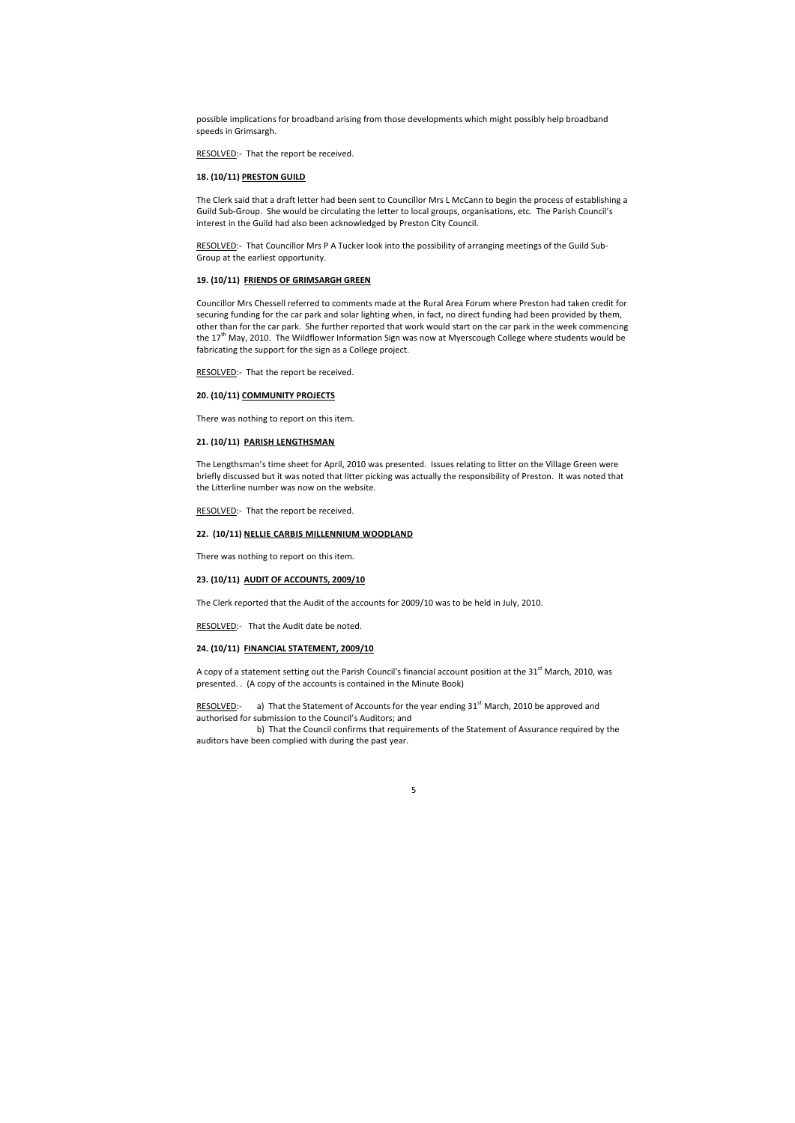possible implications for broadband arising from those developments which might possibly help broadband speeds in Grimsargh.

RESOLVED:- That the report be received.

#### 18. (10/11) PRESTON GUILD

The Clerk said that a draft letter had been sent to Councillor Mrs L McCann to begin the process of establishing a Guild Sub-Group. She would be circulating the letter to local groups, organisations, etc. The Parish Council's interest in the Guild had also been acknowledged by Preston City Council.

RESOLVED:- That Councillor Mrs P A Tucker look into the possibility of arranging meetings of the Guild Sub-Group at the earliest opportunity.

# 19. (10/11) FRIENDS OF GRIMSARGH GREEN

Councillor Mrs Chessell referred to comments made at the Rural Area Forum where Preston had taken credit for securing funding for the car park and solar lighting when, in fact, no direct funding had been provided by them, other than for the car park. She further reported that work would start on the car park in the week commencing the 17<sup>th</sup> May, 2010. The Wildflower Information Sign was now at Myerscough College where students would be fabricating the support for the sign as a College project.

RESOLVED:- That the report be received.

A copy of a statement setting out the Parish Council's financial account position at the 31<sup>st</sup> March, 2010, was presented. . (A copy of the accounts is contained in the Minute Book)

RESOLVED:- a) That the Statement of Accounts for the year ending  $31<sup>st</sup>$  March, 2010 be approved and authorised for submission to the Council's Auditors; and

### 20. (10/11) COMMUNITY PROJECTS

There was nothing to report on this item.

# 21. (10/11) PARISH LENGTHSMAN

The Lengthsman's time sheet for April, 2010 was presented. Issues relating to litter on the Village Green were briefly discussed but it was noted that litter picking was actually the responsibility of Preston. It was noted that the Litterline number was now on the website.

RESOLVED:- That the report be received.

# 22. (10/11) NELLIE CARBIS MILLENNIUM WOODLAND

There was nothing to report on this item.

#### 23. (10/11) AUDIT OF ACCOUNTS, 2009/10

The Clerk reported that the Audit of the accounts for 2009/10 was to be held in July, 2010.

RESOLVED:- That the Audit date be noted.

# 24. (10/11) FINANCIAL STATEMENT, 2009/10

 b) That the Council confirms that requirements of the Statement of Assurance required by the auditors have been complied with during the past year.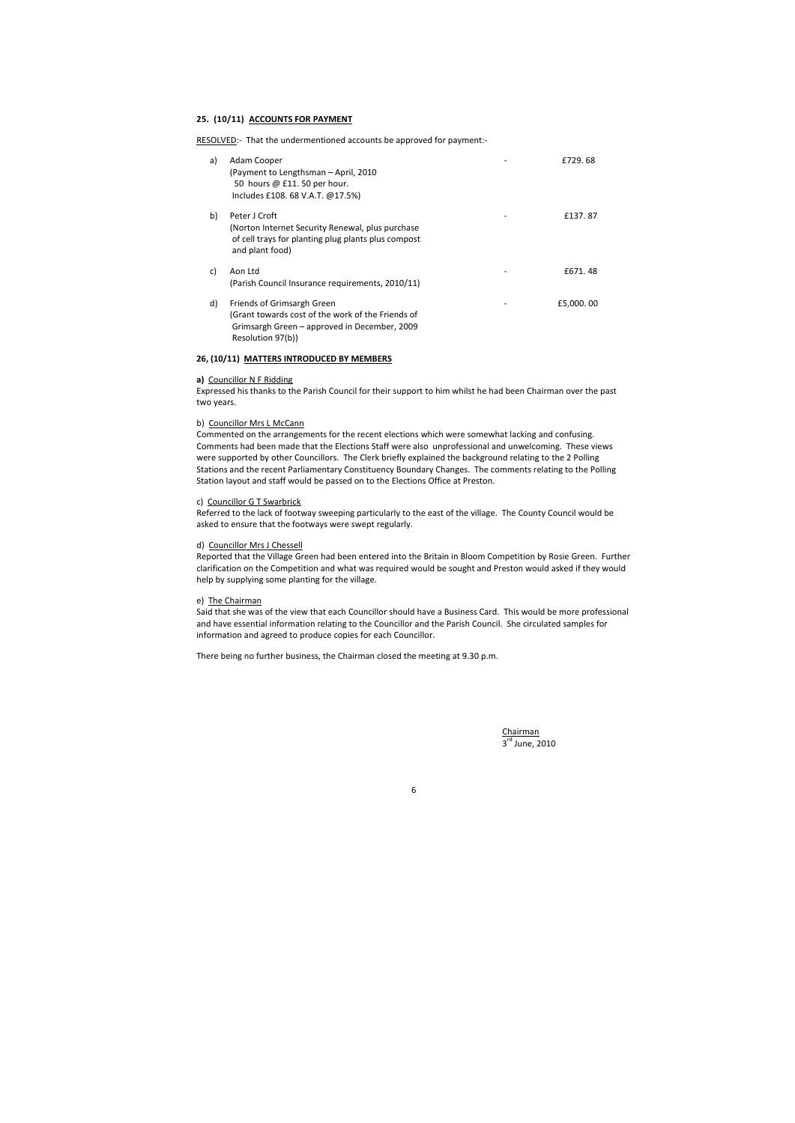# 25. (10/11) ACCOUNTS FOR PAYMENT

RESOLVED:- That the undermentioned accounts be approved for payment:-

| a) | Adam Cooper<br>(Payment to Lengthsman – April, 2010)<br>50 hours @ £11. 50 per hour.<br>Includes £108. 68 V.A.T. @17.5%)                             | £729.68   |
|----|------------------------------------------------------------------------------------------------------------------------------------------------------|-----------|
| b) | Peter J Croft<br>(Norton Internet Security Renewal, plus purchase)<br>of cell trays for planting plug plants plus compost<br>and plant food)         | £137.87   |
| C) | Aon Ltd<br>(Parish Council Insurance requirements, 2010/11)                                                                                          | £671, 48  |
| d) | Friends of Grimsargh Green<br>(Grant towards cost of the work of the Friends of<br>Grimsargh Green - approved in December, 2009<br>Resolution 97(b)) | £5,000.00 |

# 26, (10/11) MATTERS INTRODUCED BY MEMBERS

#### a) Councillor N F Ridding

Expressed his thanks to the Parish Council for their support to him whilst he had been Chairman over the past two years.

#### b) Councillor Mrs L McCann

Commented on the arrangements for the recent elections which were somewhat lacking and confusing. Comments had been made that the Elections Staff were also unprofessional and unwelcoming. These views were supported by other Councillors. The Clerk briefly explained the background relating to the 2 Polling Stations and the recent Parliamentary Constituency Boundary Changes. The comments relating to the Polling Station layout and staff would be passed on to the Elections Office at Preston.

> Chairman 3<sup>rd</sup> June, 2010

## c) Councillor G T Swarbrick

Referred to the lack of footway sweeping particularly to the east of the village. The County Council would be asked to ensure that the footways were swept regularly.

# d) Councillor Mrs J Chessell

Reported that the Village Green had been entered into the Britain in Bloom Competition by Rosie Green. Further clarification on the Competition and what was required would be sought and Preston would asked if they would help by supplying some planting for the village.

## e) The Chairman

Said that she was of the view that each Councillor should have a Business Card. This would be more professional and have essential information relating to the Councillor and the Parish Council. She circulated samples for information and agreed to produce copies for each Councillor.

There being no further business, the Chairman closed the meeting at 9.30 p.m.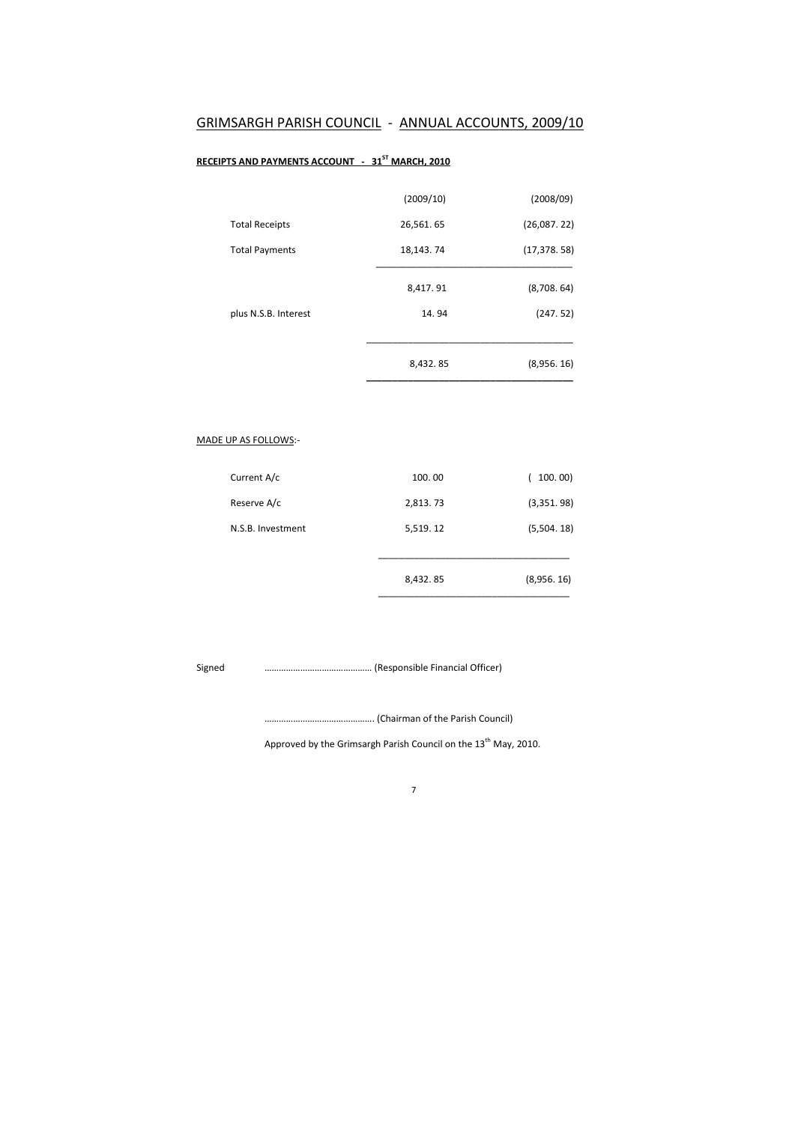# GRIMSARGH PARISH COUNCIL - ANNUAL ACCOUNTS, 2009/10

# RECEIPTS AND PAYMENTS ACCOUNT - 31<sup>ST</sup> MARCH, 2010

|                       | (2009/10) | (2008/09)    |
|-----------------------|-----------|--------------|
| <b>Total Receipts</b> | 26,561.65 | (26,087,22)  |
| <b>Total Payments</b> | 18,143.74 | (17, 378.58) |
|                       | 8,417.91  | (8,708.64)   |
| plus N.S.B. Interest  | 14.94     | (247.52)     |
|                       | 8,432.85  | (8,956.16)   |

# MADE UP AS FOLLOWS:-

| Reserve A/c       | 2,813.73 | (3,351.98) |
|-------------------|----------|------------|
| N.S.B. Investment | 5,519.12 | (5,504.18) |
|                   | 8,432.85 | (8,956.16) |

Signed ……………………………………… (Responsible Financial Officer)

………………………………………. (Chairman of the Parish Council)

Approved by the Grimsargh Parish Council on the  $13<sup>th</sup>$  May, 2010.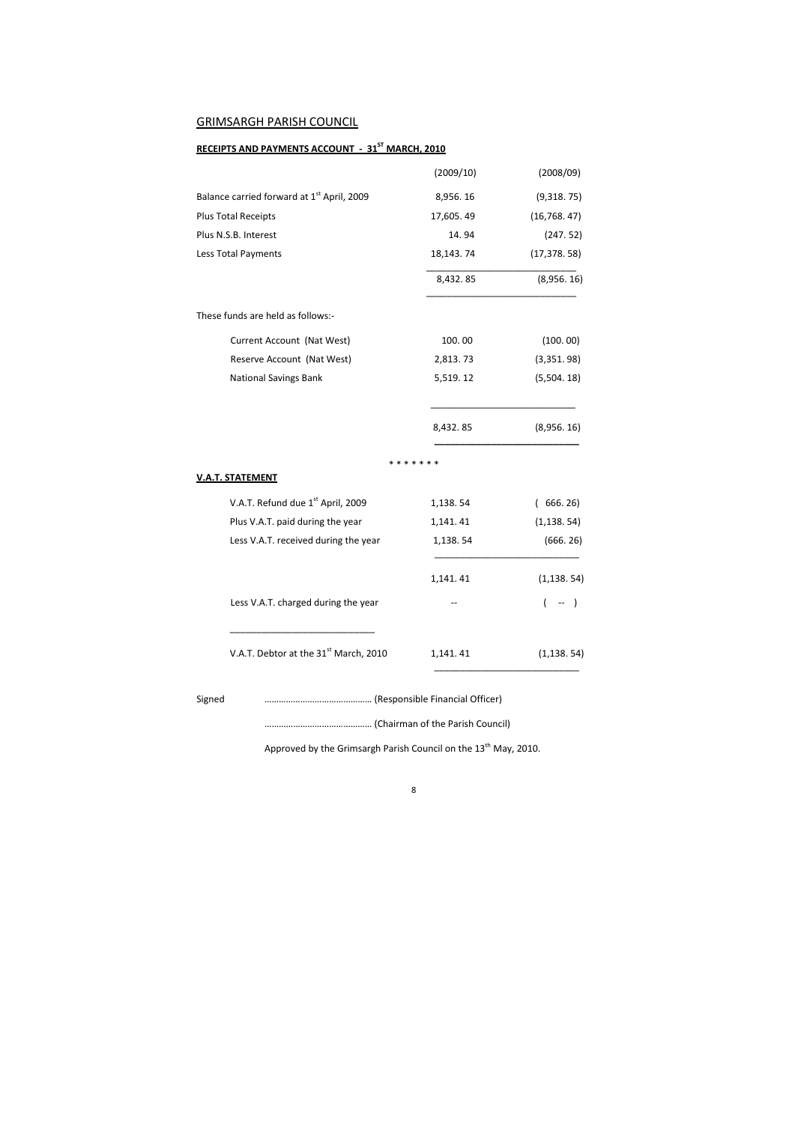# GRIMSARGH PARISH COUNCIL

# RECEIPTS AND PAYMENTS ACCOUNT - 31<sup>ST</sup> MARCH, 2010

|                                                        | (2009/10)     | (2008/09)    |  |
|--------------------------------------------------------|---------------|--------------|--|
| Balance carried forward at 1 <sup>st</sup> April, 2009 | 8,956.16      | (9,318.75)   |  |
| Plus Total Receipts                                    | 17,605.49     | (16, 768.47) |  |
| Plus N.S.B. Interest                                   | 14.94         | (247.52)     |  |
| Less Total Payments                                    | 18,143.74     | (17, 378.58) |  |
|                                                        | 8,432.85      | (8,956.16)   |  |
| These funds are held as follows:-                      |               |              |  |
| Current Account (Nat West)                             | 100.00        | (100.00)     |  |
| Reserve Account (Nat West)                             | 2,813.73      | (3,351.98)   |  |
| <b>National Savings Bank</b>                           | 5,519.12      | (5,504.18)   |  |
|                                                        | 8,432.85      | (8,956.16)   |  |
|                                                        | * * * * * * * |              |  |
| <b>V.A.T. STATEMENT</b>                                |               |              |  |
| V.A.T. Refund due 1 <sup>st</sup> April, 2009          | 1,138.54      | 666.26)<br>( |  |
| Plus V.A.T. paid during the year                       | 1,141.41      | (1, 138.54)  |  |
| Less V.A.T. received during the year                   | 1,138.54      | (666.26)     |  |
|                                                        | 1,141.41      | (1, 138.54)  |  |
| Less V.A.T. charged during the year                    |               |              |  |
| V.A.T. Debtor at the 31 <sup>st</sup> March, 2010      | 1,141.41      | (1, 138.54)  |  |
| Signed                                                 |               |              |  |

……………………………………… (Chairman of the Parish Council)

Approved by the Grimsargh Parish Council on the  $13<sup>th</sup>$  May, 2010.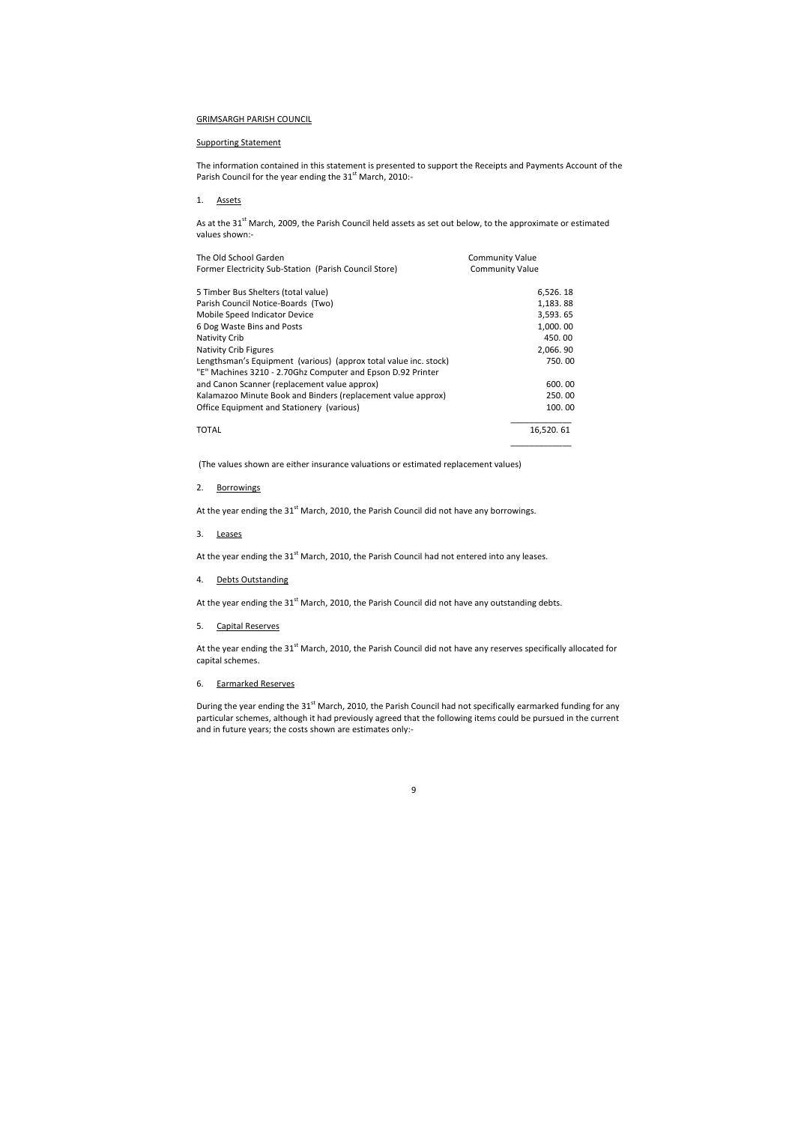# GRIMSARGH PARISH COUNCIL

The information contained in this statement is presented to support the Receipts and Payments Account of the Parish Council for the year ending the  $31<sup>st</sup>$  March, 2010:-

# Supporting Statement

As at the 31<sup>st</sup> March, 2009, the Parish Council held assets as set out below, to the approximate or estimated values shown:-

# 1. Assets

| The Old School Garden<br><b>Community Value</b>                  |                        |
|------------------------------------------------------------------|------------------------|
| Former Electricity Sub-Station (Parish Council Store)            | <b>Community Value</b> |
| 5 Timber Bus Shelters (total value)                              | 6,526.18               |
| Parish Council Notice-Boards (Two)                               | 1,183.88               |
| Mobile Speed Indicator Device                                    | 3,593.65               |
| 6 Dog Waste Bins and Posts                                       | 1,000.00               |
| Nativity Crib                                                    | 450.00                 |
| Nativity Crib Figures                                            | 2,066.90               |
| Lengthsman's Equipment (various) (approx total value inc. stock) | 750.00                 |
| "E" Machines 3210 - 2.70Ghz Computer and Epson D.92 Printer      |                        |
| and Canon Scanner (replacement value approx)                     | 600.00                 |
| Kalamazoo Minute Book and Binders (replacement value approx)     | 250.00                 |
| Office Equipment and Stationery (various)                        | 100.00                 |
| <b>TOTAL</b>                                                     | 16,520.61              |

At the year ending the 31<sup>st</sup> March, 2010, the Parish Council did not have any reserves specifically allocated for capital schemes.

During the year ending the  $31<sup>st</sup>$  March, 2010, the Parish Council had not specifically earmarked funding for any particular schemes, although it had previously agreed that the following items could be pursued in the current and in future years; the costs shown are estimates only:-

(The values shown are either insurance valuations or estimated replacement values)

# 2. Borrowings

At the year ending the  $31<sup>st</sup>$  March, 2010, the Parish Council did not have any borrowings.

3. Leases

At the year ending the 31<sup>st</sup> March, 2010, the Parish Council had not entered into any leases.

4. Debts Outstanding

At the year ending the  $31<sup>st</sup>$  March, 2010, the Parish Council did not have any outstanding debts.

5. Capital Reserves

6. Earmarked Reserves